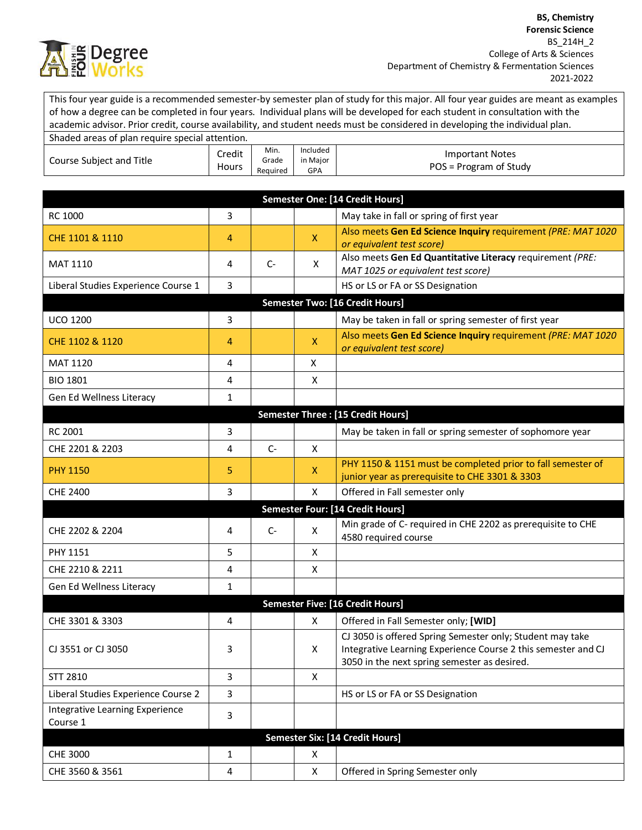

This four year guide is a recommended semester-by semester plan of study for this major. All four year guides are meant as examples of how a degree can be completed in four years. Individual plans will be developed for each student in consultation with the academic advisor. Prior credit, course availability, and student needs must be considered in developing the individual plan.

| Shaded areas of plan require special attention. |                 |                           |                                    |                                                  |
|-------------------------------------------------|-----------------|---------------------------|------------------------------------|--------------------------------------------------|
| Course Subject and Title                        | Credit<br>Hours | Min.<br>Grade<br>Reauired | Included<br>in Major<br><b>GPA</b> | <b>Important Notes</b><br>POS = Program of Study |

|                                             |              |       |              | <b>Semester One: [14 Credit Hours]</b>                                                                                                                                     |
|---------------------------------------------|--------------|-------|--------------|----------------------------------------------------------------------------------------------------------------------------------------------------------------------------|
| RC 1000                                     | 3            |       |              | May take in fall or spring of first year                                                                                                                                   |
| CHE 1101 & 1110                             | 4            |       | $\mathsf{X}$ | Also meets Gen Ed Science Inquiry requirement (PRE: MAT 1020<br>or equivalent test score)                                                                                  |
| <b>MAT 1110</b>                             | 4            | $C-$  | X            | Also meets Gen Ed Quantitative Literacy requirement (PRE:<br>MAT 1025 or equivalent test score)                                                                            |
| Liberal Studies Experience Course 1         | 3            |       |              | HS or LS or FA or SS Designation                                                                                                                                           |
|                                             |              |       |              | <b>Semester Two: [16 Credit Hours]</b>                                                                                                                                     |
| <b>UCO 1200</b>                             | 3            |       |              | May be taken in fall or spring semester of first year                                                                                                                      |
| CHE 1102 & 1120                             | 4            |       | $\mathsf{X}$ | Also meets Gen Ed Science Inquiry requirement (PRE: MAT 1020<br>or equivalent test score)                                                                                  |
| <b>MAT 1120</b>                             | 4            |       | X            |                                                                                                                                                                            |
| <b>BIO 1801</b>                             | 4            |       | X            |                                                                                                                                                                            |
| Gen Ed Wellness Literacy                    | $\mathbf{1}$ |       |              |                                                                                                                                                                            |
|                                             |              |       |              | Semester Three : [15 Credit Hours]                                                                                                                                         |
| RC 2001                                     | 3            |       |              | May be taken in fall or spring semester of sophomore year                                                                                                                  |
| CHE 2201 & 2203                             | 4            | $C -$ | X            |                                                                                                                                                                            |
| <b>PHY 1150</b>                             | 5            |       | X            | PHY 1150 & 1151 must be completed prior to fall semester of<br>junior year as prerequisite to CHE 3301 & 3303                                                              |
| <b>CHE 2400</b>                             | 3            |       | X            | Offered in Fall semester only                                                                                                                                              |
|                                             |              |       |              | Semester Four: [14 Credit Hours]                                                                                                                                           |
| CHE 2202 & 2204                             | 4            | $C-$  | X            | Min grade of C- required in CHE 2202 as prerequisite to CHE<br>4580 required course                                                                                        |
| PHY 1151                                    | 5            |       | X            |                                                                                                                                                                            |
| CHE 2210 & 2211                             | 4            |       | X            |                                                                                                                                                                            |
| Gen Ed Wellness Literacy                    | 1            |       |              |                                                                                                                                                                            |
|                                             |              |       |              | Semester Five: [16 Credit Hours]                                                                                                                                           |
| CHE 3301 & 3303                             | 4            |       | X            | Offered in Fall Semester only; [WID]                                                                                                                                       |
| CJ 3551 or CJ 3050                          | 3            |       | X            | CJ 3050 is offered Spring Semester only; Student may take<br>Integrative Learning Experience Course 2 this semester and CJ<br>3050 in the next spring semester as desired. |
| STT 2810                                    | 3            |       | X            |                                                                                                                                                                            |
| Liberal Studies Experience Course 2         | 3            |       |              | HS or LS or FA or SS Designation                                                                                                                                           |
| Integrative Learning Experience<br>Course 1 | 3            |       |              |                                                                                                                                                                            |
|                                             |              |       |              | Semester Six: [14 Credit Hours]                                                                                                                                            |
| CHE 3000                                    | $\mathbf{1}$ |       | X            |                                                                                                                                                                            |
| CHE 3560 & 3561                             | $\pmb{4}$    |       | X            | Offered in Spring Semester only                                                                                                                                            |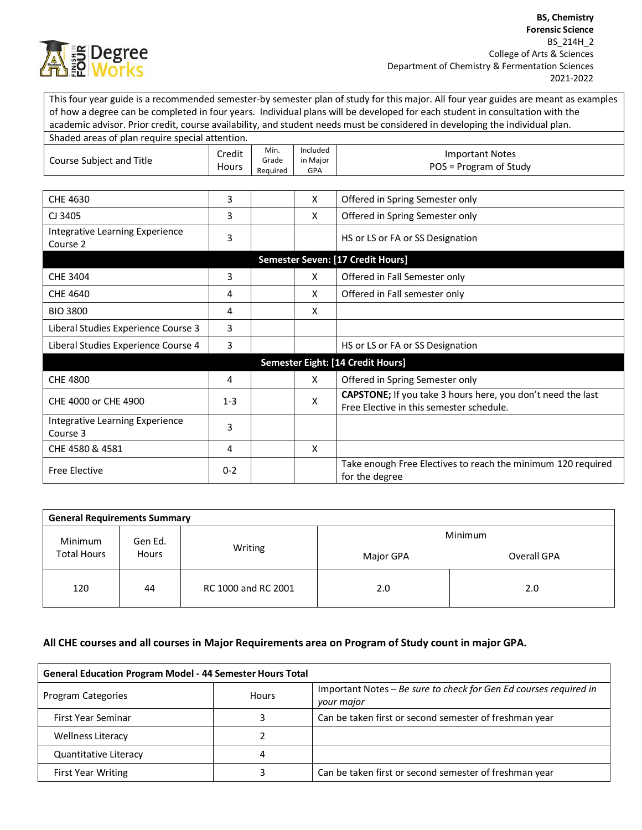

This four year guide is a recommended semester-by semester plan of study for this major. All four year guides are meant as examples of how a degree can be completed in four years. Individual plans will be developed for each student in consultation with the academic advisor. Prior credit, course availability, and student needs must be considered in developing the individual plan.

| Shaded areas of plan require special attention. |                        |                           |                             |                                                                                                         |
|-------------------------------------------------|------------------------|---------------------------|-----------------------------|---------------------------------------------------------------------------------------------------------|
| Course Subject and Title                        | Credit<br><b>Hours</b> | Min.<br>Grade<br>Required | Included<br>in Major<br>GPA | <b>Important Notes</b><br>POS = Program of Study                                                        |
|                                                 |                        |                           |                             |                                                                                                         |
| CHE 4630                                        | 3                      |                           | X                           | Offered in Spring Semester only                                                                         |
| CJ 3405                                         | 3                      |                           | X                           | Offered in Spring Semester only                                                                         |
| Integrative Learning Experience<br>Course 2     | 3                      |                           |                             | HS or LS or FA or SS Designation                                                                        |
|                                                 |                        |                           |                             | Semester Seven: [17 Credit Hours]                                                                       |
| CHE 3404                                        | 3                      |                           | X                           | Offered in Fall Semester only                                                                           |
| <b>CHE 4640</b>                                 | 4                      |                           | X                           | Offered in Fall semester only                                                                           |
| <b>BIO 3800</b>                                 | 4                      |                           | X                           |                                                                                                         |
| Liberal Studies Experience Course 3             | 3                      |                           |                             |                                                                                                         |
| Liberal Studies Experience Course 4             | 3                      |                           |                             | HS or LS or FA or SS Designation                                                                        |
|                                                 |                        |                           |                             | Semester Eight: [14 Credit Hours]                                                                       |
| <b>CHE 4800</b>                                 | 4                      |                           | X                           | Offered in Spring Semester only                                                                         |
| CHE 4000 or CHE 4900                            | $1 - 3$                |                           | X                           | CAPSTONE; If you take 3 hours here, you don't need the last<br>Free Elective in this semester schedule. |
| Integrative Learning Experience<br>Course 3     | 3                      |                           |                             |                                                                                                         |
| CHE 4580 & 4581                                 | 4                      |                           | X                           |                                                                                                         |
| <b>Free Elective</b>                            | $0 - 2$                |                           |                             | Take enough Free Electives to reach the minimum 120 required<br>for the degree                          |

| <b>General Requirements Summary</b> |         |                     |             |         |
|-------------------------------------|---------|---------------------|-------------|---------|
| Minimum                             | Gen Ed. |                     |             | Minimum |
| <b>Total Hours</b><br><b>Hours</b>  | Writing | Major GPA           | Overall GPA |         |
| 120                                 | 44      | RC 1000 and RC 2001 | 2.0         | 2.0     |

## **All CHE courses and all courses in Major Requirements area on Program of Study count in major GPA.**

| <b>General Education Program Model - 44 Semester Hours Total</b> |              |                                                                                 |
|------------------------------------------------------------------|--------------|---------------------------------------------------------------------------------|
| Program Categories                                               | <b>Hours</b> | Important Notes – Be sure to check for Gen Ed courses required in<br>your major |
| First Year Seminar                                               |              | Can be taken first or second semester of freshman year                          |
| <b>Wellness Literacy</b>                                         |              |                                                                                 |
| Quantitative Literacy                                            |              |                                                                                 |
| <b>First Year Writing</b>                                        |              | Can be taken first or second semester of freshman year                          |